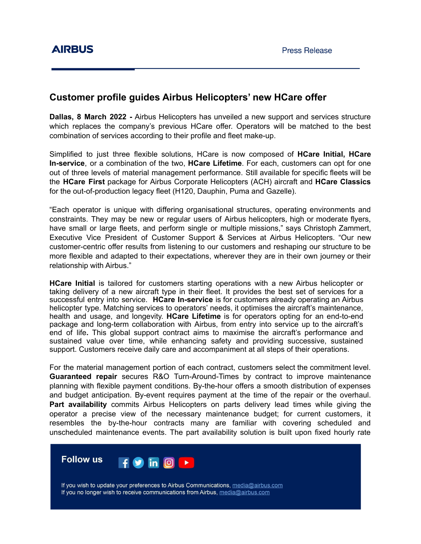## **Customer profile guides Airbus Helicopters' new HCare offer**

**Dallas, 8 March 2022 -** Airbus Helicopters has unveiled a new support and services structure which replaces the company's previous HCare offer. Operators will be matched to the best combination of services according to their profile and fleet make-up.

Simplified to just three flexible solutions, HCare is now composed of **HCare Initial, HCare In-service**, or a combination of the two, **HCare Lifetime**. For each, customers can opt for one out of three levels of material management performance. Still available for specific fleets will be the **HCare First** package for Airbus Corporate Helicopters (ACH) aircraft and **HCare Classics** for the out-of-production legacy fleet (H120, Dauphin, Puma and Gazelle).

"Each operator is unique with differing organisational structures, operating environments and constraints. They may be new or regular users of Airbus helicopters, high or moderate flyers, have small or large fleets, and perform single or multiple missions," says Christoph Zammert, Executive Vice President of Customer Support & Services at Airbus Helicopters. "Our new customer-centric offer results from listening to our customers and reshaping our structure to be more flexible and adapted to their expectations, wherever they are in their own journey or their relationship with Airbus."

**HCare Initial** is tailored for customers starting operations with a new Airbus helicopter or taking delivery of a new aircraft type in their fleet. It provides the best set of services for a successful entry into service. **HCare In-service** is for customers already operating an Airbus helicopter type. Matching services to operators' needs, it optimises the aircraft's maintenance, health and usage, and longevity. **HCare Lifetime** is for operators opting for an end-to-end package and long-term collaboration with Airbus, from entry into service up to the aircraft's end of life**.** This global support contract aims to maximise the aircraft's performance and sustained value over time, while enhancing safety and providing successive, sustained support. Customers receive daily care and accompaniment at all steps of their operations.

For the material management portion of each contract, customers select the commitment level. **Guaranteed repair** secures R&O Turn-Around-Times by contract to improve maintenance planning with flexible payment conditions. By-the-hour offers a smooth distribution of expenses and budget anticipation. By-event requires payment at the time of the repair or the overhaul. **Part availability** commits Airbus Helicopters on parts delivery lead times while giving the operator a precise view of the necessary maintenance budget; for current customers, it resembles the by-the-hour contracts many are familiar with covering scheduled and unscheduled maintenance events. The part availability solution is built upon fixed hourly rate



If you wish to update your preferences to Airbus Communications, media@airbus.com If you no longer wish to receive communications from Airbus, media@airbus.com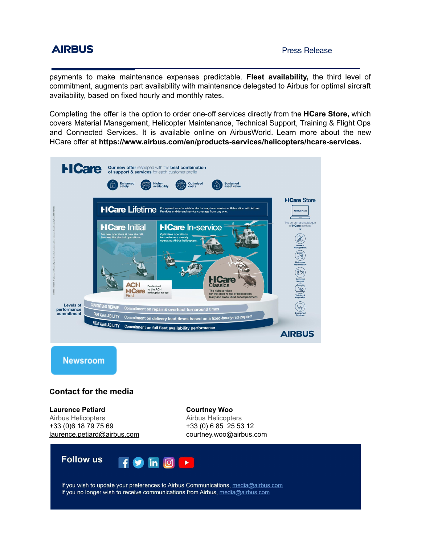## **AIRBUS**

payments to make maintenance expenses predictable. **Fleet availability,** the third level of commitment, augments part availability with maintenance delegated to Airbus for optimal aircraft availability, based on fixed hourly and monthly rates.

Completing the offer is the option to order one-off services directly from the **HCare Store,** which covers Material Management, Helicopter Maintenance, Technical Support, Training & Flight Ops and Connected Services. It is available online on AirbusWorld. Learn more about the new HCare offer at **https://www.airbus.com/en/products-services/helicopters/hcare-services.**



**Newsroom** 

## **Contact for the media**

**Laurence Petiard** Airbus Helicopters +33 (0)6 18 79 75 69 [laurence.petiard@airbus.com](mailto:laurence.petiard@airbus.com) **Courtney Woo** Airbus Helicopters +33 (0) 6 85 25 53 12 courtney.woo@airbus.com



If you wish to update your preferences to Airbus Communications, media@airbus.com If you no longer wish to receive communications from Airbus, media@airbus.com